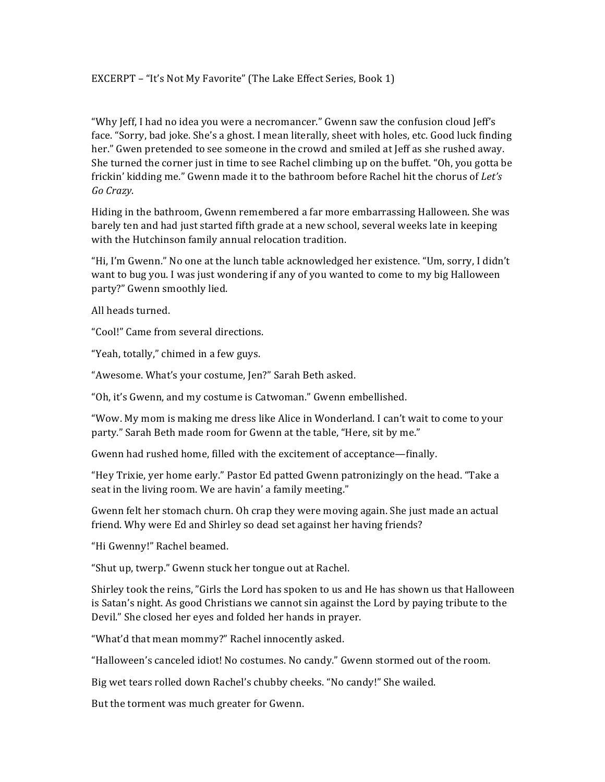EXCERPT - "It's Not My Favorite" (The Lake Effect Series, Book 1)

"Why  $\text{left}$ , I had no idea you were a necromancer." Gwenn saw the confusion cloud  $\text{left}$ 's face. "Sorry, bad joke. She's a ghost. I mean literally, sheet with holes, etc. Good luck finding her." Gwen pretended to see someone in the crowd and smiled at Jeff as she rushed away. She turned the corner just in time to see Rachel climbing up on the buffet. "Oh, you gotta be frickin' kidding me." Gwenn made it to the bathroom before Rachel hit the chorus of *Let's Go Crazy*.

Hiding in the bathroom, Gwenn remembered a far more embarrassing Halloween. She was barely ten and had just started fifth grade at a new school, several weeks late in keeping with the Hutchinson family annual relocation tradition.

"Hi, I'm Gwenn." No one at the lunch table acknowledged her existence. "Um, sorry, I didn't want to bug you. I was just wondering if any of you wanted to come to my big Halloween party?" Gwenn smoothly lied.

All heads turned.

"Cool!" Came from several directions.

"Yeah, totally," chimed in a few guys.

"Awesome. What's your costume, Jen?" Sarah Beth asked.

"Oh, it's Gwenn, and my costume is Catwoman." Gwenn embellished.

"Wow. My mom is making me dress like Alice in Wonderland. I can't wait to come to your party." Sarah Beth made room for Gwenn at the table, "Here, sit by me."

Gwenn had rushed home, filled with the excitement of acceptance—finally.

"Hey Trixie, yer home early." Pastor Ed patted Gwenn patronizingly on the head. "Take a seat in the living room. We are havin' a family meeting."

Gwenn felt her stomach churn. Oh crap they were moving again. She just made an actual friend. Why were Ed and Shirley so dead set against her having friends?

"Hi Gwenny!" Rachel beamed.

"Shut up, twerp." Gwenn stuck her tongue out at Rachel.

Shirley took the reins, "Girls the Lord has spoken to us and He has shown us that Halloween is Satan's night. As good Christians we cannot sin against the Lord by paying tribute to the Devil." She closed her eyes and folded her hands in prayer.

"What'd that mean mommy?" Rachel innocently asked.

"Halloween's canceled idiot! No costumes. No candy." Gwenn stormed out of the room.

Big wet tears rolled down Rachel's chubby cheeks. "No candy!" She wailed.

But the torment was much greater for Gwenn.